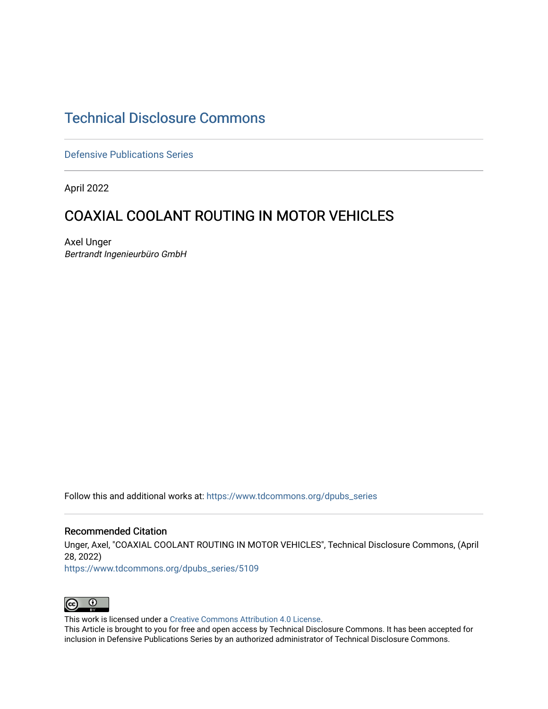# [Technical Disclosure Commons](https://www.tdcommons.org/)

[Defensive Publications Series](https://www.tdcommons.org/dpubs_series)

April 2022

# **COAXIAL COOLANT ROUTING IN MOTOR VEHICLES**

Axel Unger Bertrandt Ingenieurbüro GmbH

Follow this and additional works at: [https://www.tdcommons.org/dpubs\\_series](https://www.tdcommons.org/dpubs_series?utm_source=www.tdcommons.org%2Fdpubs_series%2F5109&utm_medium=PDF&utm_campaign=PDFCoverPages) 

# Recommended Citation

Unger, Axel, "COAXIAL COOLANT ROUTING IN MOTOR VEHICLES", Technical Disclosure Commons, (April 28, 2022)

[https://www.tdcommons.org/dpubs\\_series/5109](https://www.tdcommons.org/dpubs_series/5109?utm_source=www.tdcommons.org%2Fdpubs_series%2F5109&utm_medium=PDF&utm_campaign=PDFCoverPages)



This work is licensed under a [Creative Commons Attribution 4.0 License](http://creativecommons.org/licenses/by/4.0/deed.en_US).

This Article is brought to you for free and open access by Technical Disclosure Commons. It has been accepted for inclusion in Defensive Publications Series by an authorized administrator of Technical Disclosure Commons.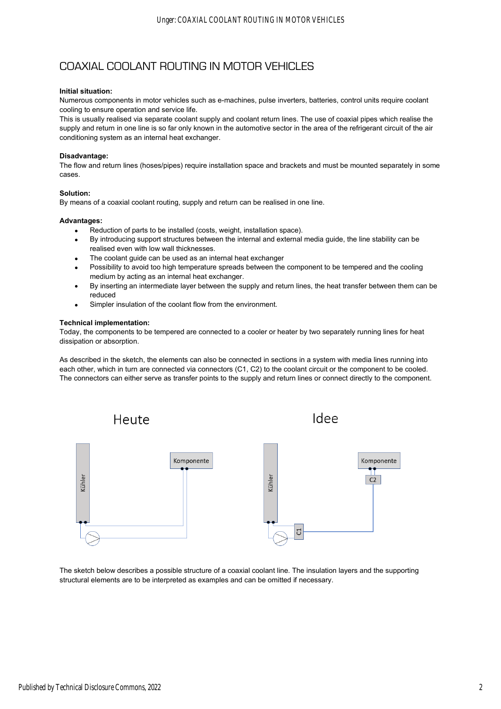# COAXIAL COOLANT ROUTING IN MOTOR VEHICLES

## **Initial situation:**

Numerous components in motor vehicles such as e-machines, pulse inverters, batteries, control units require coolant cooling to ensure operation and service life.

This is usually realised via separate coolant supply and coolant return lines. The use of coaxial pipes which realise the supply and return in one line is so far only known in the automotive sector in the area of the refrigerant circuit of the air conditioning system as an internal heat exchanger.

### **Disadvantage:**

The flow and return lines (hoses/pipes) require installation space and brackets and must be mounted separately in some cases.

### **Solution:**

By means of a coaxial coolant routing, supply and return can be realised in one line.

#### **Advantages:**

- Reduction of parts to be installed (costs, weight, installation space).
- By introducing support structures between the internal and external media guide, the line stability can be realised even with low wall thicknesses.
- The coolant guide can be used as an internal heat exchanger
- Possibility to avoid too high temperature spreads between the component to be tempered and the cooling medium by acting as an internal heat exchanger.
- By inserting an intermediate layer between the supply and return lines, the heat transfer between them can be reduced
- Simpler insulation of the coolant flow from the environment.

### **Technical implementation:**

Today, the components to be tempered are connected to a cooler or heater by two separately running lines for heat dissipation or absorption.

As described in the sketch, the elements can also be connected in sections in a system with media lines running into each other, which in turn are connected via connectors (C1, C2) to the coolant circuit or the component to be cooled. The connectors can either serve as transfer points to the supply and return lines or connect directly to the component.



The sketch below describes a possible structure of a coaxial coolant line. The insulation layers and the supporting structural elements are to be interpreted as examples and can be omitted if necessary.